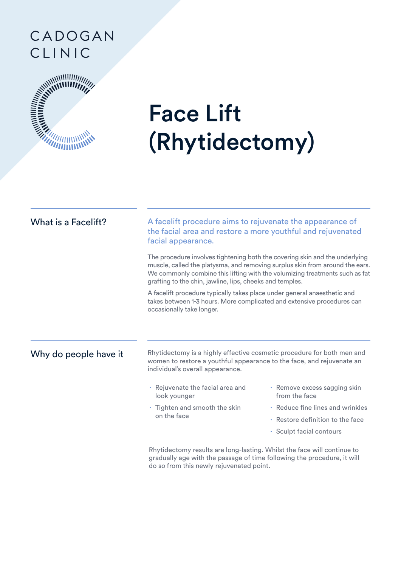## CADOGAN CLINIC



# Face Lift (Rhytidectomy)

| What is a Facelift?   | A facelift procedure aims to rejuvenate the appearance of<br>the facial area and restore a more youthful and rejuvenated<br>facial appearance.                                                                                                                                                         |                                               |
|-----------------------|--------------------------------------------------------------------------------------------------------------------------------------------------------------------------------------------------------------------------------------------------------------------------------------------------------|-----------------------------------------------|
|                       | The procedure involves tightening both the covering skin and the underlying<br>muscle, called the platysma, and removing surplus skin from around the ears.<br>We commonly combine this lifting with the volumizing treatments such as fat<br>grafting to the chin, jawline, lips, cheeks and temples. |                                               |
|                       | A facelift procedure typically takes place under general anaesthetic and<br>takes between 1-3 hours. More complicated and extensive procedures can<br>occasionally take longer.                                                                                                                        |                                               |
| Why do people have it | Rhytidectomy is a highly effective cosmetic procedure for both men and<br>women to restore a youthful appearance to the face, and rejuvenate an<br>individual's overall appearance.                                                                                                                    |                                               |
|                       | · Rejuvenate the facial area and<br>look younger                                                                                                                                                                                                                                                       | · Remove excess sagging skin<br>from the face |
|                       | · Tighten and smooth the skin<br>on the face                                                                                                                                                                                                                                                           | · Reduce fine lines and wrinkles              |
|                       |                                                                                                                                                                                                                                                                                                        | · Restore definition to the face              |
|                       |                                                                                                                                                                                                                                                                                                        | · Sculpt facial contours                      |
|                       | Rhytidectomy results are long-lasting. Whilst the face will continue to<br>the contract of the contract of the contract of the contract of the contract of the contract of the contract of                                                                                                             |                                               |

gradually age with the passage of time following the procedure, it will do so from this newly rejuvenated point.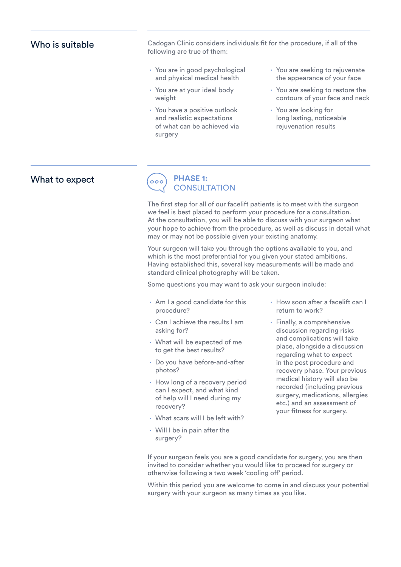#### Who is suitable

Cadogan Clinic considers individuals fit for the procedure, if all of the following are true of them:

- **∙** You are in good psychological and physical medical health
- **∙** You are at your ideal body weight
- **∙** You have a positive outlook and realistic expectations of what can be achieved via surgery
- **∙** You are seeking to rejuvenate the appearance of your face
- **∙** You are seeking to restore the contours of your face and neck
- **∙** You are looking for long lasting, noticeable rejuvenation results



The first step for all of our facelift patients is to meet with the surgeon we feel is best placed to perform your procedure for a consultation. At the consultation, you will be able to discuss with your surgeon what your hope to achieve from the procedure, as well as discuss in detail what may or may not be possible given your existing anatomy.

Your surgeon will take you through the options available to you, and which is the most preferential for you given your stated ambitions. Having established this, several key measurements will be made and standard clinical photography will be taken.

Some questions you may want to ask your surgeon include:

- **∙** Am I a good candidate for this procedure?
- **∙** Can I achieve the results I am asking for?
- **∙** What will be expected of me to get the best results?
- **∙** Do you have before-and-after photos?
- **∙** How long of a recovery period can I expect, and what kind of help will I need during my recovery?
- **∙** What scars will I be left with?
- **∙** Will I be in pain after the surgery?
- **∙** How soon after a facelift can I return to work?
- **∙** Finally, a comprehensive discussion regarding risks and complications will take place, alongside a discussion regarding what to expect in the post procedure and recovery phase. Your previous medical history will also be recorded (including previous surgery, medications, allergies etc.) and an assessment of your fitness for surgery.

If your surgeon feels you are a good candidate for surgery, you are then invited to consider whether you would like to proceed for surgery or otherwise following a two week 'cooling off' period.

Within this period you are welcome to come in and discuss your potential surgery with your surgeon as many times as you like.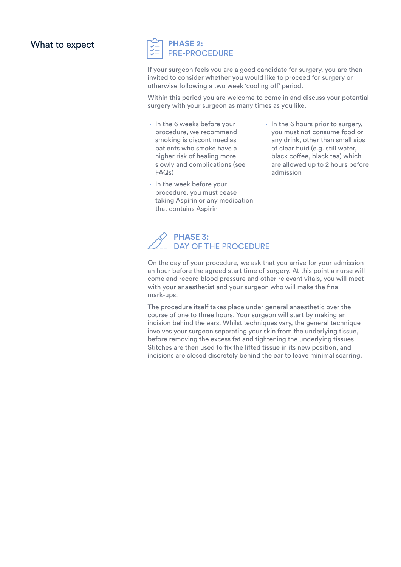#### What to expect

#### **PHASE 2:** PRE-PROCEDURE

If your surgeon feels you are a good candidate for surgery, you are then invited to consider whether you would like to proceed for surgery or otherwise following a two week 'cooling off' period.

Within this period you are welcome to come in and discuss your potential surgery with your surgeon as many times as you like.

- **∙** In the 6 weeks before your procedure, we recommend smoking is discontinued as patients who smoke have a higher risk of healing more slowly and complications (see FAQs)
- **∙** In the week before your procedure, you must cease taking Aspirin or any medication that contains Aspirin
- **∙** In the 6 hours prior to surgery, you must not consume food or any drink, other than small sips of clear fluid (e.g. still water, black coffee, black tea) which are allowed up to 2 hours before admission

#### **PHASE 3:** DAY OF THE PROCEDURE

On the day of your procedure, we ask that you arrive for your admission an hour before the agreed start time of surgery. At this point a nurse will come and record blood pressure and other relevant vitals, you will meet with your anaesthetist and your surgeon who will make the final mark-ups.

The procedure itself takes place under general anaesthetic over the course of one to three hours. Your surgeon will start by making an incision behind the ears. Whilst techniques vary, the general technique involves your surgeon separating your skin from the underlying tissue, before removing the excess fat and tightening the underlying tissues. Stitches are then used to fix the lifted tissue in its new position, and incisions are closed discretely behind the ear to leave minimal scarring.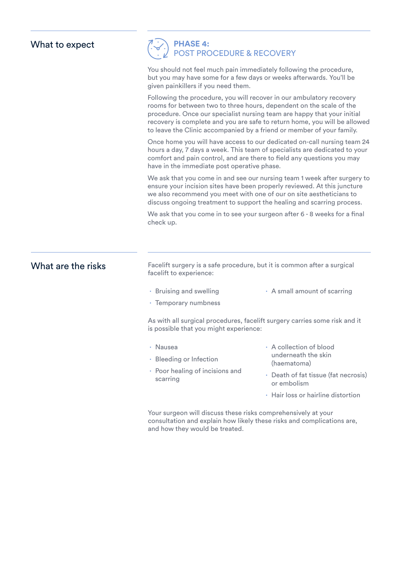| What to expect                                                                                                       |                                                                                                                                                                                                                                                                                                                                                                                                                                                                                                                                                                  | <b>PHASE 4:<br/>POST PROCEDURE &amp; RECOVERY</b>                                                  |  |  |
|----------------------------------------------------------------------------------------------------------------------|------------------------------------------------------------------------------------------------------------------------------------------------------------------------------------------------------------------------------------------------------------------------------------------------------------------------------------------------------------------------------------------------------------------------------------------------------------------------------------------------------------------------------------------------------------------|----------------------------------------------------------------------------------------------------|--|--|
|                                                                                                                      | You should not feel much pain immediately following the procedure,<br>but you may have some for a few days or weeks afterwards. You'll be<br>given painkillers if you need them.<br>Following the procedure, you will recover in our ambulatory recovery<br>rooms for between two to three hours, dependent on the scale of the<br>procedure. Once our specialist nursing team are happy that your initial<br>recovery is complete and you are safe to return home, you will be allowed<br>to leave the Clinic accompanied by a friend or member of your family. |                                                                                                    |  |  |
|                                                                                                                      |                                                                                                                                                                                                                                                                                                                                                                                                                                                                                                                                                                  |                                                                                                    |  |  |
|                                                                                                                      | We ask that you come in and see our nursing team 1 week after surgery to<br>ensure your incision sites have been properly reviewed. At this juncture<br>we also recommend you meet with one of our on site aestheticians to<br>discuss ongoing treatment to support the healing and scarring process.                                                                                                                                                                                                                                                            |                                                                                                    |  |  |
|                                                                                                                      | check up.                                                                                                                                                                                                                                                                                                                                                                                                                                                                                                                                                        | We ask that you come in to see your surgeon after 6 - 8 weeks for a final                          |  |  |
|                                                                                                                      | What are the risks                                                                                                                                                                                                                                                                                                                                                                                                                                                                                                                                               | Facelift surgery is a safe procedure, but it is common after a surgical<br>facelift to experience: |  |  |
| • Bruising and swelling                                                                                              |                                                                                                                                                                                                                                                                                                                                                                                                                                                                                                                                                                  | · A small amount of scarring                                                                       |  |  |
| · Temporary numbness                                                                                                 |                                                                                                                                                                                                                                                                                                                                                                                                                                                                                                                                                                  |                                                                                                    |  |  |
| As with all surgical procedures, facelift surgery carries some risk and it<br>is possible that you might experience: |                                                                                                                                                                                                                                                                                                                                                                                                                                                                                                                                                                  |                                                                                                    |  |  |
| · Nausea                                                                                                             |                                                                                                                                                                                                                                                                                                                                                                                                                                                                                                                                                                  | · A collection of blood                                                                            |  |  |
| · Bleeding or Infection                                                                                              |                                                                                                                                                                                                                                                                                                                                                                                                                                                                                                                                                                  | underneath the skin<br>(haematoma)                                                                 |  |  |
| • Poor healing of incisions and<br>scarring                                                                          |                                                                                                                                                                                                                                                                                                                                                                                                                                                                                                                                                                  | · Death of fat tissue (fat necrosis)<br>or embolism                                                |  |  |
|                                                                                                                      |                                                                                                                                                                                                                                                                                                                                                                                                                                                                                                                                                                  | · Hair loss or hairline distortion                                                                 |  |  |

Your surgeon will discuss these risks comprehensively at your consultation and explain how likely these risks and complications are, and how they would be treated.